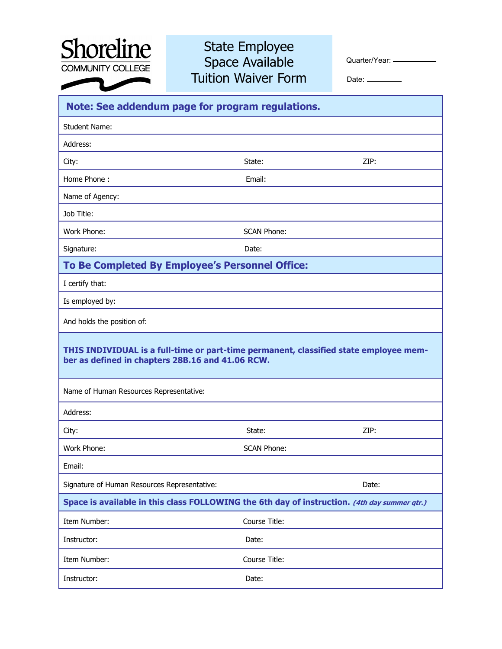

## State Employee Space Available Tuition Waiver Form

Quarter/Year: -

Date: \_\_\_\_\_\_\_\_

| Note: See addendum page for program regulations.                                                                                          |                    |       |
|-------------------------------------------------------------------------------------------------------------------------------------------|--------------------|-------|
| <b>Student Name:</b>                                                                                                                      |                    |       |
| Address:                                                                                                                                  |                    |       |
| City:                                                                                                                                     | State:             | ZIP:  |
| Home Phone:                                                                                                                               | Email:             |       |
| Name of Agency:                                                                                                                           |                    |       |
| Job Title:                                                                                                                                |                    |       |
| Work Phone:                                                                                                                               | <b>SCAN Phone:</b> |       |
| Signature:                                                                                                                                | Date:              |       |
| To Be Completed By Employee's Personnel Office:                                                                                           |                    |       |
| I certify that:                                                                                                                           |                    |       |
| Is employed by:                                                                                                                           |                    |       |
| And holds the position of:                                                                                                                |                    |       |
| THIS INDIVIDUAL is a full-time or part-time permanent, classified state employee mem-<br>ber as defined in chapters 28B.16 and 41.06 RCW. |                    |       |
| Name of Human Resources Representative:                                                                                                   |                    |       |
| Address:                                                                                                                                  |                    |       |
| City:                                                                                                                                     | State:             | ZIP:  |
| Work Phone:                                                                                                                               | <b>SCAN Phone:</b> |       |
| Email:                                                                                                                                    |                    |       |
| Signature of Human Resources Representative:                                                                                              |                    | Date: |
| Space is available in this class FOLLOWING the 6th day of instruction. (4th day summer qtr.)                                              |                    |       |
| Item Number:                                                                                                                              | Course Title:      |       |
| Instructor:                                                                                                                               | Date:              |       |
| Item Number:                                                                                                                              | Course Title:      |       |
| Instructor:                                                                                                                               | Date:              |       |